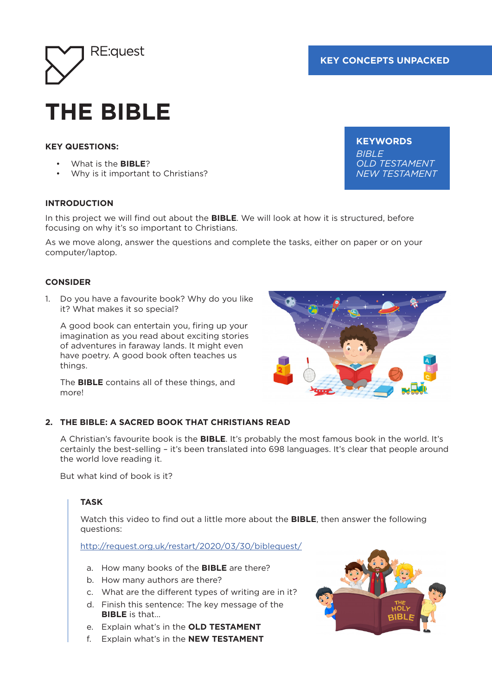

# **THE BIBLE**

## **KEY QUESTIONS:**

- What is the **BIBLE**?
- Why is it important to Christians?

#### **INTRODUCTION**

In this project we will find out about the **BIBLE**. We will look at how it is structured, before focusing on why it's so important to Christians.

As we move along, answer the questions and complete the tasks, either on paper or on your computer/laptop.

#### **CONSIDER**

1. Do you have a favourite book? Why do you like it? What makes it so special?

A good book can entertain you, firing up your imagination as you read about exciting stories of adventures in faraway lands. It might even have poetry. A good book often teaches us things.

The **BIBLE** contains all of these things, and more!



#### **2. THE BIBLE: A SACRED BOOK THAT CHRISTIANS READ**

A Christian's favourite book is the **BIBLE**. It's probably the most famous book in the world. It's certainly the best-selling – it's been translated into 698 languages. It's clear that people around the world love reading it.

But what kind of book is it?

#### **TASK**

Watch this video to find out a little more about the **BIBLE**, then answer the following questions:

http://request.org.uk/restart/2020/03/30/biblequest/

- a. How many books of the **BIBLE** are there?
- b. How many authors are there?
- c. What are the different types of writing are in it?
- d. Finish this sentence: The key message of the **BIBLE** is that…
- e. Explain what's in the **OLD TESTAMENT**
- f. Explain what's in the **NEW TESTAMENT**



**KEYWORDS** *BIBLE OLD TESTAMENT NEW TESTAMENT*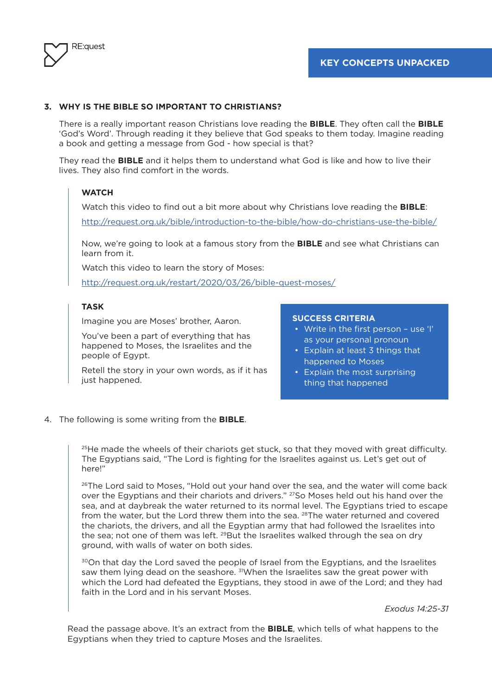

#### **3. WHY IS THE BIBLE SO IMPORTANT TO CHRISTIANS?**

There is a really important reason Christians love reading the **BIBLE**. They often call the **BIBLE** 'God's Word'. Through reading it they believe that God speaks to them today. Imagine reading a book and getting a message from God - how special is that?

They read the **BIBLE** and it helps them to understand what God is like and how to live their lives. They also find comfort in the words.

#### **WATCH**

Watch this video to find out a bit more about why Christians love reading the **BIBLE**:

http://request.org.uk/bible/introduction-to-the-bible/how-do-christians-use-the-bible/

Now, we're going to look at a famous story from the **BIBLE** and see what Christians can learn from it.

Watch this video to learn the story of Moses:

http://request.org.uk/restart/2020/03/26/bible-quest-moses/

#### **TASK**

Imagine you are Moses' brother, Aaron.

You've been a part of everything that has happened to Moses, the Israelites and the people of Egypt.

Retell the story in your own words, as if it has just happened.

#### **SUCCESS CRITERIA**

- Write in the first person use 'I' as your personal pronoun
- Explain at least 3 things that happened to Moses
- Explain the most surprising thing that happened
- 4. The following is some writing from the **BIBLE**.

 $25$ He made the wheels of their chariots get stuck, so that they moved with great difficulty. The Egyptians said, "The Lord is fighting for the Israelites against us. Let's get out of here!"

<sup>26</sup>The Lord said to Moses, "Hold out your hand over the sea, and the water will come back over the Egyptians and their chariots and drivers." 27So Moses held out his hand over the sea, and at daybreak the water returned to its normal level. The Egyptians tried to escape from the water, but the Lord threw them into the sea. <sup>28</sup>The water returned and covered the chariots, the drivers, and all the Egyptian army that had followed the Israelites into the sea; not one of them was left. <sup>29</sup>But the Israelites walked through the sea on dry ground, with walls of water on both sides.

<sup>30</sup>On that day the Lord saved the people of Israel from the Egyptians, and the Israelites saw them lying dead on the seashore. <sup>31</sup>When the Israelites saw the great power with which the Lord had defeated the Egyptians, they stood in awe of the Lord; and they had faith in the Lord and in his servant Moses.

*Exodus 14:25-31*

Read the passage above. It's an extract from the **BIBLE**, which tells of what happens to the Egyptians when they tried to capture Moses and the Israelites.